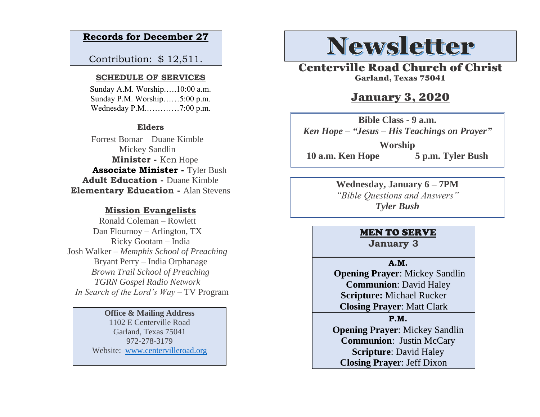## **Records for December 27**

Contribution: \$ 12,511.

#### **SCHEDULE OF SERVICES**

 Sunday A.M. Worship.….10:00 a.m. Sunday P.M. Worship……5:00 p.m. Wednesday P.M.…………7:00 p.m.

### **Elders**

Forrest Bomar Duane Kimble Mickey Sandlin  **Minister -** Ken Hope  **Associate Minister -** Tyler Bush **Adult Education -** Duane Kimble **Elementary Education -** Alan Stevens

#### **Mission Evangelists**

Ronald Coleman – Rowlett Dan Flournoy – Arlington, TX Ricky Gootam – India Josh Walker – *Memphis School of Preaching* Bryant Perry – India Orphanage *Brown Trail School of Preaching TGRN Gospel Radio Network In Search of the Lord's Way* – TV Program

#### **Office & Mailing Address**

1102 E Centerville Road Garland, Texas 75041 972-278-3179 Website: [www.centervilleroad.org](https://d.docs.live.net/97e199c461b763eb/Newsletter/News%202020/August%202020/www.centervilleroad.org)

# **Newsletter**

Centerville Road Church of Christ Garland, Texas 75041

## January 3, 2020

**Bible Class - 9 a.m.** *Ken Hope – "Jesus – His Teachings on Prayer"* **Worship 10 a.m. Ken Hope 5 p.m. Tyler Bush**

> **Wednesday, January 6 – 7PM** *"Bible Questions and Answers" Tyler Bush*

## MEN TO SERVE

**January 3**

#### **A.M.**

 **Opening Prayer**: Mickey Sandlin **Communion**: David Haley **Scripture:** Michael Rucker **Closing Prayer**: Matt Clark

#### **P.M.**

**Opening Prayer**: Mickey Sandlin **Communion**: Justin McCary **Scripture**: David Haley **Closing Prayer**: Jeff Dixon